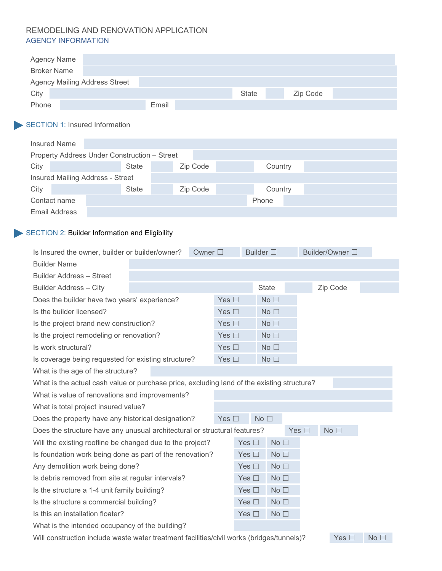### REMODELING AND RENOVATION APPLICATION AGENCY INFORMATION

| <b>Agency Name</b> |                                      |       |              |          |  |
|--------------------|--------------------------------------|-------|--------------|----------|--|
| <b>Broker Name</b> |                                      |       |              |          |  |
|                    | <b>Agency Mailing Address Street</b> |       |              |          |  |
| City               |                                      |       | <b>State</b> | Zip Code |  |
| Phone              |                                      | Email |              |          |  |

# SECTION 1: Insured Information

| <b>Insured Name</b>                          |              |  |          |         |  |  |  |  |
|----------------------------------------------|--------------|--|----------|---------|--|--|--|--|
| Property Address Under Construction - Street |              |  |          |         |  |  |  |  |
| City                                         | <b>State</b> |  | Zip Code | Country |  |  |  |  |
| <b>Insured Mailing Address - Street</b>      |              |  |          |         |  |  |  |  |
| City                                         | <b>State</b> |  | Zip Code | Country |  |  |  |  |
| Contact name                                 |              |  |          | Phone   |  |  |  |  |
| <b>Email Address</b>                         |              |  |          |         |  |  |  |  |

### SECTION 2: Builder Information and Eligibility

| Is Insured the owner, builder or builder/owner?<br>Owner $\square$                         |  |  |               | Builder $\square$ |                 | Builder/Owner □ |                 |  |
|--------------------------------------------------------------------------------------------|--|--|---------------|-------------------|-----------------|-----------------|-----------------|--|
| <b>Builder Name</b>                                                                        |  |  |               |                   |                 |                 |                 |  |
| Builder Address - Street                                                                   |  |  |               |                   |                 |                 |                 |  |
| <b>Builder Address - City</b>                                                              |  |  |               |                   | <b>State</b>    |                 | Zip Code        |  |
| Does the builder have two years' experience?                                               |  |  | Yes $\square$ |                   | No <sub>1</sub> |                 |                 |  |
| Is the builder licensed?                                                                   |  |  | Yes $\square$ |                   | No <sub>1</sub> |                 |                 |  |
| Is the project brand new construction?                                                     |  |  | Yes $\square$ |                   | No <sub>1</sub> |                 |                 |  |
| Is the project remodeling or renovation?                                                   |  |  | Yes $\square$ |                   | No <sub>1</sub> |                 |                 |  |
| Is work structural?                                                                        |  |  | Yes $\square$ |                   | No <sub>1</sub> |                 |                 |  |
| Is coverage being requested for existing structure?                                        |  |  | Yes $\square$ |                   | No <sub>1</sub> |                 |                 |  |
| What is the age of the structure?                                                          |  |  |               |                   |                 |                 |                 |  |
| What is the actual cash value or purchase price, excluding land of the existing structure? |  |  |               |                   |                 |                 |                 |  |
| What is value of renovations and improvements?                                             |  |  |               |                   |                 |                 |                 |  |
| What is total project insured value?                                                       |  |  |               |                   |                 |                 |                 |  |
| Does the property have any historical designation?                                         |  |  | Yes $\Box$    |                   | No              |                 |                 |  |
| Does the structure have any unusual architectural or structural features?                  |  |  |               |                   |                 | Yes $\square$   | No <sub>1</sub> |  |
| Will the existing roofline be changed due to the project?                                  |  |  |               | Yes $\square$     | No <sub>1</sub> |                 |                 |  |
| Is foundation work being done as part of the renovation?                                   |  |  |               | Yes $\square$     | No <sub>1</sub> |                 |                 |  |
| Any demolition work being done?                                                            |  |  |               | Yes $\square$     | No <sub>1</sub> |                 |                 |  |
| Is debris removed from site at regular intervals?                                          |  |  |               | Yes $\square$     | No <sub>1</sub> |                 |                 |  |
| Is the structure a 1-4 unit family building?                                               |  |  |               | Yes $\square$     | No <sub>1</sub> |                 |                 |  |
| Is the structure a commercial building?                                                    |  |  |               | Yes $\square$     | No <sub>1</sub> |                 |                 |  |
| Is this an installation floater?                                                           |  |  |               | Yes $\Box$        | No <sub>1</sub> |                 |                 |  |
| What is the intended occupancy of the building?                                            |  |  |               |                   |                 |                 |                 |  |

Will construction include waste water treatment facilities/civil works (bridges/tunnels)? Yes □ No □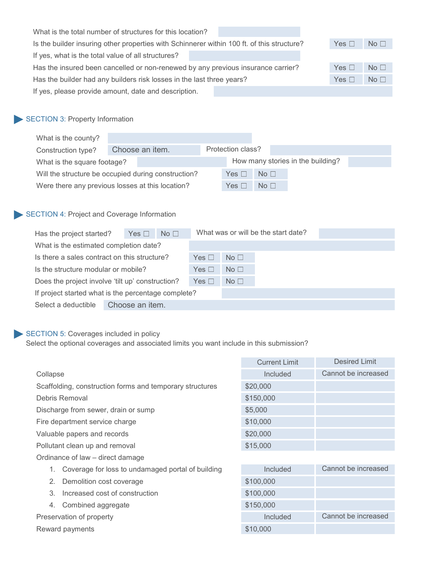| What is the total number of structures for this location?                                  |            |                 |
|--------------------------------------------------------------------------------------------|------------|-----------------|
| Is the builder insuring other properties with Schinnerer within 100 ft. of this structure? | Yes $\Box$ | No <sub>1</sub> |
| If yes, what is the total value of all structures?                                         |            |                 |
| Has the insured been cancelled or non-renewed by any previous insurance carrier?           | Yes $\Box$ | No <sub>1</sub> |
| Has the builder had any builders risk losses in the last three years?                      | Yes $\Box$ | No <sub>1</sub> |
| If yes, please provide amount, date and description.                                       |            |                 |

# SECTION 3: Property Information

| What is the county?                                 |  |                 |                   |                 |                                   |  |
|-----------------------------------------------------|--|-----------------|-------------------|-----------------|-----------------------------------|--|
| Construction type?                                  |  | Choose an item. | Protection class? |                 |                                   |  |
| What is the square footage?                         |  |                 |                   |                 | How many stories in the building? |  |
| Will the structure be occupied during construction? |  |                 | Yes $\Box$        | No <sub>1</sub> |                                   |  |
| Were there any previous losses at this location?    |  |                 | Yes $\Box$        | No <sub>1</sub> |                                   |  |

#### SECTION 4: Project and Coverage Information

| Has the project started?                            | Yes $\Box$      | No <sub>1</sub> |            |                 | What was or will be the start date? |  |
|-----------------------------------------------------|-----------------|-----------------|------------|-----------------|-------------------------------------|--|
| What is the estimated completion date?              |                 |                 |            |                 |                                     |  |
| Is there a sales contract on this structure?        |                 |                 | Yes $\Box$ | No <sub>1</sub> |                                     |  |
| Is the structure modular or mobile?                 |                 |                 | Yes $\Box$ | No <sub>1</sub> |                                     |  |
| Does the project involve 'tilt up' construction?    |                 |                 | Yes $\Box$ | No <sub>1</sub> |                                     |  |
| If project started what is the percentage complete? |                 |                 |            |                 |                                     |  |
| Select a deductible                                 | Choose an item. |                 |            |                 |                                     |  |

### SECTION 5: Coverages included in policy

Select the optional coverages and associated limits you want include in this submission?

|                                                          | <b>Current Limit</b> | <b>Desired Limit</b> |
|----------------------------------------------------------|----------------------|----------------------|
| Collapse                                                 | Included             | Cannot be increased  |
| Scaffolding, construction forms and temporary structures | \$20,000             |                      |
| Debris Removal                                           | \$150,000            |                      |
| Discharge from sewer, drain or sump                      | \$5,000              |                      |
| Fire department service charge                           | \$10,000             |                      |
| Valuable papers and records                              | \$20,000             |                      |
| Pollutant clean up and removal                           | \$15,000             |                      |
| Ordinance of law – direct damage                         |                      |                      |
| Coverage for loss to undamaged portal of building<br>1.  | Included             | Cannot be increased  |
| 2.<br>Demolition cost coverage                           | \$100,000            |                      |
| Increased cost of construction<br>3.                     | \$100,000            |                      |
| Combined aggregate<br>4.                                 | \$150,000            |                      |
| Preservation of property                                 | Included             | Cannot be increased  |
| Reward payments                                          | \$10,000             |                      |
|                                                          |                      |                      |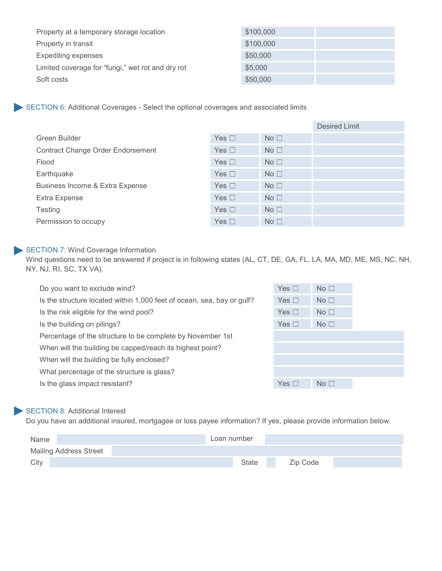| Property at a temporary storage location          | \$100,000 |  |
|---------------------------------------------------|-----------|--|
| Property in transit                               | \$100,000 |  |
| <b>Expediting expenses</b>                        | \$50,000  |  |
| Limited coverage for "fungi," wet rot and dry rot | \$5,000   |  |
| Soft costs                                        | \$50,000  |  |

SECTION 6: Additional Coverages - Select the optional coverages and associated limits

|                                          |            |                 | <b>Desired Limit</b> |
|------------------------------------------|------------|-----------------|----------------------|
| Green Builder                            | Yes $\Box$ | No <sub>1</sub> |                      |
| <b>Contract Change Order Endorsement</b> | Yes $\Box$ | No <sub>1</sub> |                      |
| Flood                                    | Yes $\Box$ | No <sub>1</sub> |                      |
| Earthquake                               | Yes $\Box$ | No <sub>1</sub> |                      |
| Business Income & Extra Expense          | Yes $\Box$ | No <sub>1</sub> |                      |
| <b>Extra Expense</b>                     | Yes $\Box$ | No <sub>1</sub> |                      |
| <b>Testing</b>                           | Yes $\Box$ | No <sub>1</sub> |                      |
| Permission to occupy                     | Yes $\Box$ | No <sub>1</sub> |                      |

#### SECTION 7: Wind Coverage Information

Wind questions need to be answered if project is in following states (AL, CT, DE, GA, FL, LA, MA, MD, ME, MS, NC, NH, NY, NJ, RI, SC, TX VA).

| Do you want to exclude wind?                                           | Yes $\Box$ | No <sub>1</sub> |  |
|------------------------------------------------------------------------|------------|-----------------|--|
| Is the structure located within 1,000 feet of ocean, sea, bay or gulf? | Yes $\Box$ | No <sub>1</sub> |  |
| Is the risk eligible for the wind pool?                                | Yes $\Box$ | No <sub>1</sub> |  |
| Is the building on pilings?                                            | Yes $\Box$ | No <sub>1</sub> |  |
| Percentage of the structure to be complete by November 1st             |            |                 |  |
| When will the building be capped/reach its highest point?              |            |                 |  |
| When will the building be fully enclosed?                              |            |                 |  |
| What percentage of the structure is glass?                             |            |                 |  |
| Is the glass impact resistant?                                         | Yes $\Box$ | No <sub>1</sub> |  |
|                                                                        |            |                 |  |

#### SECTION 8: Additional Interest

Do you have an additional insured, mortgagee or loss payee information? If yes, please provide information below.

| Name                          | Loan number  |          |  |
|-------------------------------|--------------|----------|--|
| <b>Mailing Address Street</b> |              |          |  |
| City                          | <b>State</b> | Zip Code |  |